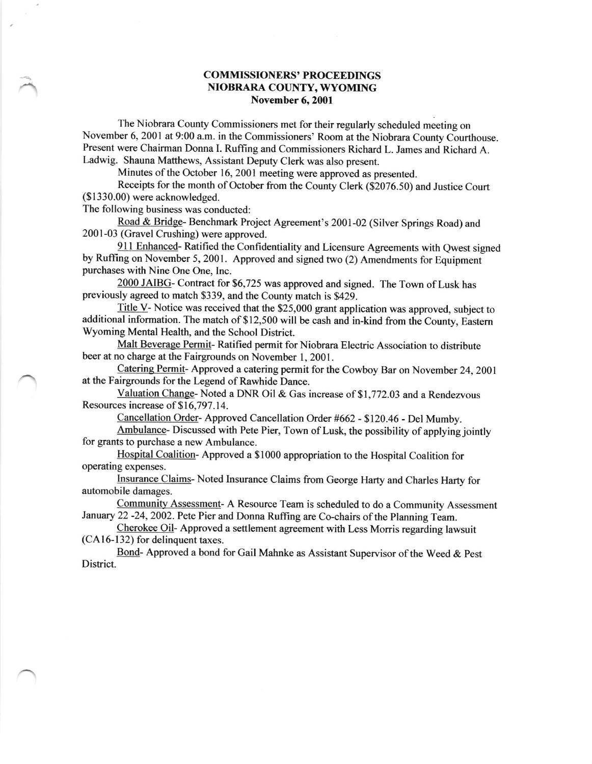## COMMISSIONERS' PROCEEDINGS NIOBRARA COUNTY, WYOMING November 6, 2001

The Niobrara County Commissioners met for their regularly scheduled meeting on November 6, 2001 at 9:00 a.m. in the commissioners' Room at the Niobrara county courthouse. Present were chairman Donna I. Ruffing and commissioners Richard L. James and Richard A. Ladwig. Shauna Matthews, Assistant Deputy Clerk was also present.

Minutes of the October 16, 2001 meeting were approved as presented.

Receipts for the month of October fiom the County Clerk (\$2076.50) and Justice Court (\$ 1330.00) were acknowledged.

The following business was conducted:

Road & Bridge- Benchmark Project Agreement's 2001-02 (Silver Springs Road) and 2001-03 (Gravel Crushing) were approved.

911 Enhanced- Ratified the Confidentiality and Licensure Agreements with Qwest signed by Ruffing on November 5, 2001. Approved and signed two (2) Amendments for Equipment purchases with Nine One One, Inc.

2000 JAIBG- Contract for \$6,725 was approved and signed. The Town of Lusk has previously agreed to match \$339, and the County match is \$429.

Title V- Notice was received that the \$25,000 grant application was approved, subject to additional information. The match of \$12,500 will be cash and in-kind from the County, Eastern Wyoming Mental Health, and the School District.

Malt Beverage Permit- Ratified permit for Niobrara Electric Association to distribute beer at no charge at the Fairgrounds on November 1, 2001.

Catering Permit- Approved a catering permit for the Cowboy Bar on November 24, 2001 at the Fairgrounds for the Legend of Rawhide Dance.

Valuation Change- Noted a DNR Oil & Gas increase of \$1,772.03 and a Rendezvous Resources increase of \$16,797.14.

Cancellation Order- Approved Cancellation Order #662 - \$120.46 - Del Mumby.

Ambulance- Discussed with Pete Pier, Town of Lusk, the possibility of applying jointly for grants to purchase a new Ambulance.

Hospital Coalition-Approved a \$1000 appropriation to the Hospital Coalition for operating expenses.

Insurance Claims- Noted Insurance Claims fiom George Harty and Charles Harty for automobile damages.

Communitv Assessment- A Resource Team is scheduled to do a Community Assessment January 22 -24, 2002. Pete Pier and Donna Ruffing are Co-chairs of the Planning Team.

Cherokee Oil- Approved a settlement agreement with Less Morris regarding lawsuit  $(CA16-132)$  for delinguent taxes.

Bond- Approved a bond for Gail Mahnke as Assistant Supervisor of the Weed & Pest District.